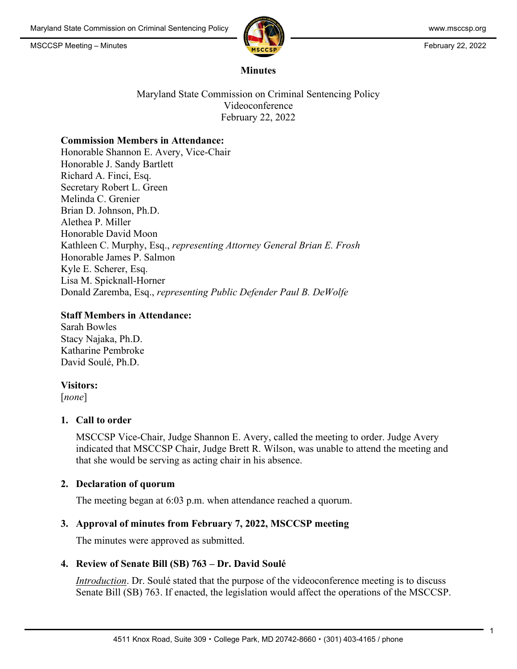MSCCSP Meeting – Minutes **February 22, 2022** 



#### **Minutes**

Maryland State Commission on Criminal Sentencing Policy Videoconference February 22, 2022

#### **Commission Members in Attendance:**

Honorable Shannon E. Avery, Vice-Chair Honorable J. Sandy Bartlett Richard A. Finci, Esq. Secretary Robert L. Green Melinda C. Grenier Brian D. Johnson, Ph.D. Alethea P. Miller Honorable David Moon Kathleen C. Murphy, Esq., *representing Attorney General Brian E. Frosh*  Honorable James P. Salmon Kyle E. Scherer, Esq. Lisa M. Spicknall-Horner Donald Zaremba, Esq., *representing Public Defender Paul B. DeWolfe*

# **Staff Members in Attendance:**

Sarah Bowles Stacy Najaka, Ph.D. Katharine Pembroke David Soulé, Ph.D.

#### **Visitors:**

[*none*]

# **1. Call to order**

MSCCSP Vice-Chair, Judge Shannon E. Avery, called the meeting to order. Judge Avery indicated that MSCCSP Chair, Judge Brett R. Wilson, was unable to attend the meeting and that she would be serving as acting chair in his absence.

# **2. Declaration of quorum**

The meeting began at 6:03 p.m. when attendance reached a quorum.

# **3. Approval of minutes from February 7, 2022, MSCCSP meeting**

The minutes were approved as submitted.

# **4. Review of Senate Bill (SB) 763 – Dr. David Soulé**

*Introduction*. Dr. Soulé stated that the purpose of the videoconference meeting is to discuss Senate Bill (SB) 763. If enacted, the legislation would affect the operations of the MSCCSP.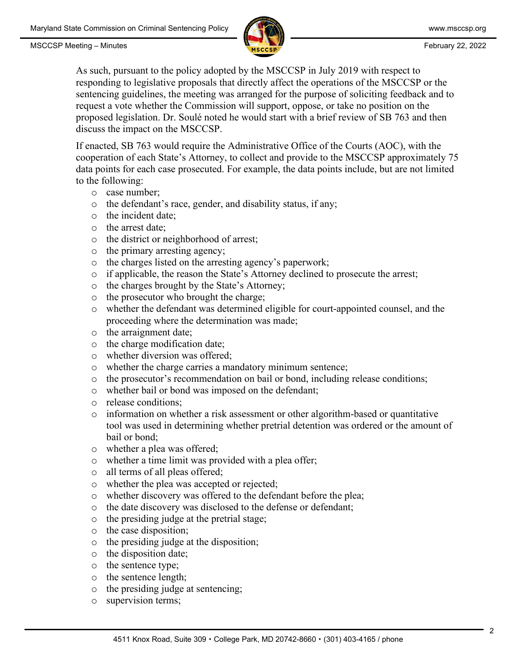MSCCSP Meeting – Minutes **February 22, 2022** 



As such, pursuant to the policy adopted by the MSCCSP in July 2019 with respect to responding to legislative proposals that directly affect the operations of the MSCCSP or the sentencing guidelines, the meeting was arranged for the purpose of soliciting feedback and to request a vote whether the Commission will support, oppose, or take no position on the proposed legislation. Dr. Soulé noted he would start with a brief review of SB 763 and then discuss the impact on the MSCCSP.

If enacted, SB 763 would require the Administrative Office of the Courts (AOC), with the cooperation of each State's Attorney, to collect and provide to the MSCCSP approximately 75 data points for each case prosecuted. For example, the data points include, but are not limited to the following:

- o case number;
- o the defendant's race, gender, and disability status, if any;
- o the incident date;
- o the arrest date;
- o the district or neighborhood of arrest;
- o the primary arresting agency;
- o the charges listed on the arresting agency's paperwork;
- o if applicable, the reason the State's Attorney declined to prosecute the arrest;
- o the charges brought by the State's Attorney;
- o the prosecutor who brought the charge;
- o whether the defendant was determined eligible for court-appointed counsel, and the proceeding where the determination was made;
- o the arraignment date;
- o the charge modification date;
- o whether diversion was offered;
- o whether the charge carries a mandatory minimum sentence;
- o the prosecutor's recommendation on bail or bond, including release conditions;
- o whether bail or bond was imposed on the defendant;
- o release conditions;
- o information on whether a risk assessment or other algorithm-based or quantitative tool was used in determining whether pretrial detention was ordered or the amount of bail or bond;
- o whether a plea was offered;
- o whether a time limit was provided with a plea offer;
- o all terms of all pleas offered;
- o whether the plea was accepted or rejected;
- o whether discovery was offered to the defendant before the plea;
- o the date discovery was disclosed to the defense or defendant;
- o the presiding judge at the pretrial stage;
- o the case disposition;
- o the presiding judge at the disposition;
- o the disposition date;
- o the sentence type;
- o the sentence length;
- o the presiding judge at sentencing;
- o supervision terms;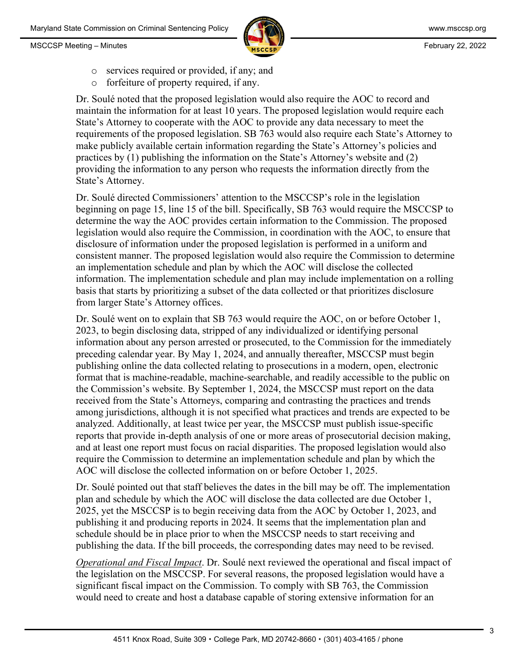MSCCSP Meeting – Minutes **February 22, 2022** 



- o services required or provided, if any; and
- o forfeiture of property required, if any.

Dr. Soulé noted that the proposed legislation would also require the AOC to record and maintain the information for at least 10 years. The proposed legislation would require each State's Attorney to cooperate with the AOC to provide any data necessary to meet the requirements of the proposed legislation. SB 763 would also require each State's Attorney to make publicly available certain information regarding the State's Attorney's policies and practices by (1) publishing the information on the State's Attorney's website and (2) providing the information to any person who requests the information directly from the State's Attorney.

Dr. Soulé directed Commissioners' attention to the MSCCSP's role in the legislation beginning on page 15, line 15 of the bill. Specifically, SB 763 would require the MSCCSP to determine the way the AOC provides certain information to the Commission. The proposed legislation would also require the Commission, in coordination with the AOC, to ensure that disclosure of information under the proposed legislation is performed in a uniform and consistent manner. The proposed legislation would also require the Commission to determine an implementation schedule and plan by which the AOC will disclose the collected information. The implementation schedule and plan may include implementation on a rolling basis that starts by prioritizing a subset of the data collected or that prioritizes disclosure from larger State's Attorney offices.

Dr. Soulé went on to explain that SB 763 would require the AOC, on or before October 1, 2023, to begin disclosing data, stripped of any individualized or identifying personal information about any person arrested or prosecuted, to the Commission for the immediately preceding calendar year. By May 1, 2024, and annually thereafter, MSCCSP must begin publishing online the data collected relating to prosecutions in a modern, open, electronic format that is machine-readable, machine-searchable, and readily accessible to the public on the Commission's website. By September 1, 2024, the MSCCSP must report on the data received from the State's Attorneys, comparing and contrasting the practices and trends among jurisdictions, although it is not specified what practices and trends are expected to be analyzed. Additionally, at least twice per year, the MSCCSP must publish issue-specific reports that provide in-depth analysis of one or more areas of prosecutorial decision making, and at least one report must focus on racial disparities. The proposed legislation would also require the Commission to determine an implementation schedule and plan by which the AOC will disclose the collected information on or before October 1, 2025.

Dr. Soulé pointed out that staff believes the dates in the bill may be off. The implementation plan and schedule by which the AOC will disclose the data collected are due October 1, 2025, yet the MSCCSP is to begin receiving data from the AOC by October 1, 2023, and publishing it and producing reports in 2024. It seems that the implementation plan and schedule should be in place prior to when the MSCCSP needs to start receiving and publishing the data. If the bill proceeds, the corresponding dates may need to be revised.

*Operational and Fiscal Impact*. Dr. Soulé next reviewed the operational and fiscal impact of the legislation on the MSCCSP. For several reasons, the proposed legislation would have a significant fiscal impact on the Commission. To comply with SB 763, the Commission would need to create and host a database capable of storing extensive information for an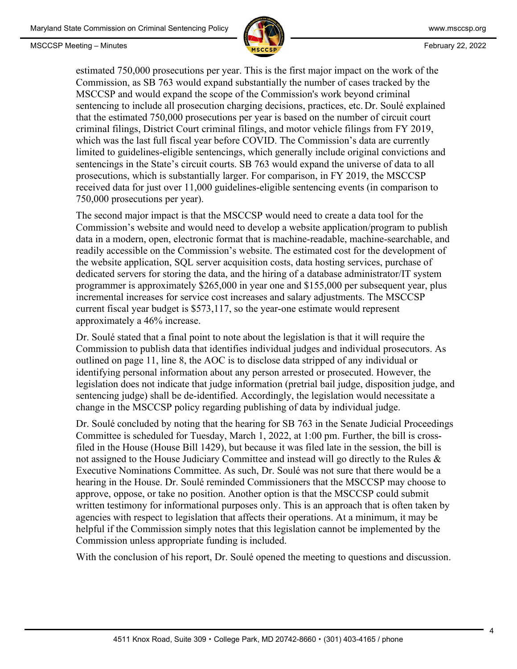

estimated 750,000 prosecutions per year. This is the first major impact on the work of the Commission, as SB 763 would expand substantially the number of cases tracked by the MSCCSP and would expand the scope of the Commission's work beyond criminal sentencing to include all prosecution charging decisions, practices, etc. Dr. Soulé explained that the estimated 750,000 prosecutions per year is based on the number of circuit court criminal filings, District Court criminal filings, and motor vehicle filings from FY 2019, which was the last full fiscal year before COVID. The Commission's data are currently limited to guidelines-eligible sentencings, which generally include original convictions and sentencings in the State's circuit courts. SB 763 would expand the universe of data to all prosecutions, which is substantially larger. For comparison, in FY 2019, the MSCCSP received data for just over 11,000 guidelines-eligible sentencing events (in comparison to 750,000 prosecutions per year).

The second major impact is that the MSCCSP would need to create a data tool for the Commission's website and would need to develop a website application/program to publish data in a modern, open, electronic format that is machine-readable, machine-searchable, and readily accessible on the Commission's website. The estimated cost for the development of the website application, SQL server acquisition costs, data hosting services, purchase of dedicated servers for storing the data, and the hiring of a database administrator/IT system programmer is approximately \$265,000 in year one and \$155,000 per subsequent year, plus incremental increases for service cost increases and salary adjustments. The MSCCSP current fiscal year budget is \$573,117, so the year-one estimate would represent approximately a 46% increase.

Dr. Soulé stated that a final point to note about the legislation is that it will require the Commission to publish data that identifies individual judges and individual prosecutors. As outlined on page 11, line 8, the AOC is to disclose data stripped of any individual or identifying personal information about any person arrested or prosecuted. However, the legislation does not indicate that judge information (pretrial bail judge, disposition judge, and sentencing judge) shall be de-identified. Accordingly, the legislation would necessitate a change in the MSCCSP policy regarding publishing of data by individual judge.

Dr. Soulé concluded by noting that the hearing for SB 763 in the Senate Judicial Proceedings Committee is scheduled for Tuesday, March 1, 2022, at 1:00 pm. Further, the bill is crossfiled in the House (House Bill 1429), but because it was filed late in the session, the bill is not assigned to the House Judiciary Committee and instead will go directly to the Rules & Executive Nominations Committee. As such, Dr. Soulé was not sure that there would be a hearing in the House. Dr. Soulé reminded Commissioners that the MSCCSP may choose to approve, oppose, or take no position. Another option is that the MSCCSP could submit written testimony for informational purposes only. This is an approach that is often taken by agencies with respect to legislation that affects their operations. At a minimum, it may be helpful if the Commission simply notes that this legislation cannot be implemented by the Commission unless appropriate funding is included.

With the conclusion of his report, Dr. Soulé opened the meeting to questions and discussion.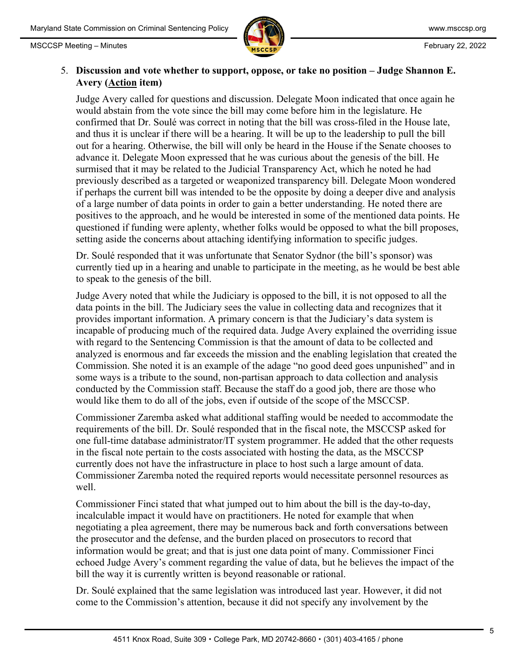



#### 5. **Discussion and vote whether to support, oppose, or take no position – Judge Shannon E. Avery (Action item)**

Judge Avery called for questions and discussion. Delegate Moon indicated that once again he would abstain from the vote since the bill may come before him in the legislature. He confirmed that Dr. Soulé was correct in noting that the bill was cross-filed in the House late, and thus it is unclear if there will be a hearing. It will be up to the leadership to pull the bill out for a hearing. Otherwise, the bill will only be heard in the House if the Senate chooses to advance it. Delegate Moon expressed that he was curious about the genesis of the bill. He surmised that it may be related to the Judicial Transparency Act, which he noted he had previously described as a targeted or weaponized transparency bill. Delegate Moon wondered if perhaps the current bill was intended to be the opposite by doing a deeper dive and analysis of a large number of data points in order to gain a better understanding. He noted there are positives to the approach, and he would be interested in some of the mentioned data points. He questioned if funding were aplenty, whether folks would be opposed to what the bill proposes, setting aside the concerns about attaching identifying information to specific judges.

Dr. Soulé responded that it was unfortunate that Senator Sydnor (the bill's sponsor) was currently tied up in a hearing and unable to participate in the meeting, as he would be best able to speak to the genesis of the bill.

Judge Avery noted that while the Judiciary is opposed to the bill, it is not opposed to all the data points in the bill. The Judiciary sees the value in collecting data and recognizes that it provides important information. A primary concern is that the Judiciary's data system is incapable of producing much of the required data. Judge Avery explained the overriding issue with regard to the Sentencing Commission is that the amount of data to be collected and analyzed is enormous and far exceeds the mission and the enabling legislation that created the Commission. She noted it is an example of the adage "no good deed goes unpunished" and in some ways is a tribute to the sound, non-partisan approach to data collection and analysis conducted by the Commission staff. Because the staff do a good job, there are those who would like them to do all of the jobs, even if outside of the scope of the MSCCSP.

Commissioner Zaremba asked what additional staffing would be needed to accommodate the requirements of the bill. Dr. Soulé responded that in the fiscal note, the MSCCSP asked for one full-time database administrator/IT system programmer. He added that the other requests in the fiscal note pertain to the costs associated with hosting the data, as the MSCCSP currently does not have the infrastructure in place to host such a large amount of data. Commissioner Zaremba noted the required reports would necessitate personnel resources as well.

Commissioner Finci stated that what jumped out to him about the bill is the day-to-day, incalculable impact it would have on practitioners. He noted for example that when negotiating a plea agreement, there may be numerous back and forth conversations between the prosecutor and the defense, and the burden placed on prosecutors to record that information would be great; and that is just one data point of many. Commissioner Finci echoed Judge Avery's comment regarding the value of data, but he believes the impact of the bill the way it is currently written is beyond reasonable or rational.

Dr. Soulé explained that the same legislation was introduced last year. However, it did not come to the Commission's attention, because it did not specify any involvement by the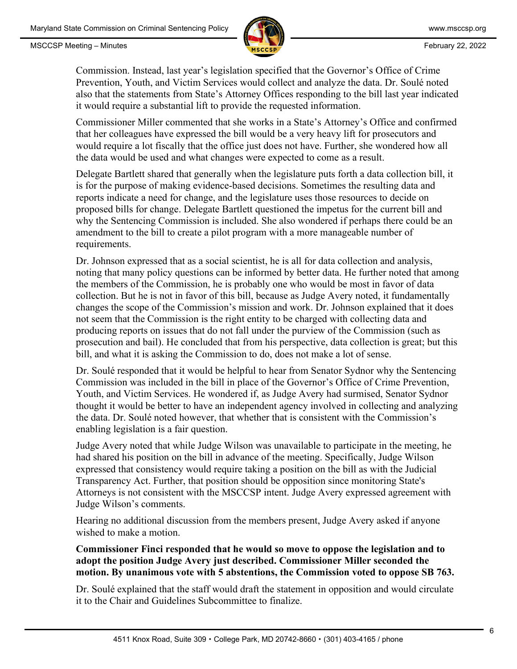

Commission. Instead, last year's legislation specified that the Governor's Office of Crime Prevention, Youth, and Victim Services would collect and analyze the data. Dr. Soulé noted also that the statements from State's Attorney Offices responding to the bill last year indicated it would require a substantial lift to provide the requested information.

Commissioner Miller commented that she works in a State's Attorney's Office and confirmed that her colleagues have expressed the bill would be a very heavy lift for prosecutors and would require a lot fiscally that the office just does not have. Further, she wondered how all the data would be used and what changes were expected to come as a result.

Delegate Bartlett shared that generally when the legislature puts forth a data collection bill, it is for the purpose of making evidence-based decisions. Sometimes the resulting data and reports indicate a need for change, and the legislature uses those resources to decide on proposed bills for change. Delegate Bartlett questioned the impetus for the current bill and why the Sentencing Commission is included. She also wondered if perhaps there could be an amendment to the bill to create a pilot program with a more manageable number of requirements.

Dr. Johnson expressed that as a social scientist, he is all for data collection and analysis, noting that many policy questions can be informed by better data. He further noted that among the members of the Commission, he is probably one who would be most in favor of data collection. But he is not in favor of this bill, because as Judge Avery noted, it fundamentally changes the scope of the Commission's mission and work. Dr. Johnson explained that it does not seem that the Commission is the right entity to be charged with collecting data and producing reports on issues that do not fall under the purview of the Commission (such as prosecution and bail). He concluded that from his perspective, data collection is great; but this bill, and what it is asking the Commission to do, does not make a lot of sense.

Dr. Soulé responded that it would be helpful to hear from Senator Sydnor why the Sentencing Commission was included in the bill in place of the Governor's Office of Crime Prevention, Youth, and Victim Services. He wondered if, as Judge Avery had surmised, Senator Sydnor thought it would be better to have an independent agency involved in collecting and analyzing the data. Dr. Soulé noted however, that whether that is consistent with the Commission's enabling legislation is a fair question.

Judge Avery noted that while Judge Wilson was unavailable to participate in the meeting, he had shared his position on the bill in advance of the meeting. Specifically, Judge Wilson expressed that consistency would require taking a position on the bill as with the Judicial Transparency Act. Further, that position should be opposition since monitoring State's Attorneys is not consistent with the MSCCSP intent. Judge Avery expressed agreement with Judge Wilson's comments.

Hearing no additional discussion from the members present, Judge Avery asked if anyone wished to make a motion.

**Commissioner Finci responded that he would so move to oppose the legislation and to adopt the position Judge Avery just described. Commissioner Miller seconded the motion. By unanimous vote with 5 abstentions, the Commission voted to oppose SB 763.**

Dr. Soulé explained that the staff would draft the statement in opposition and would circulate it to the Chair and Guidelines Subcommittee to finalize.